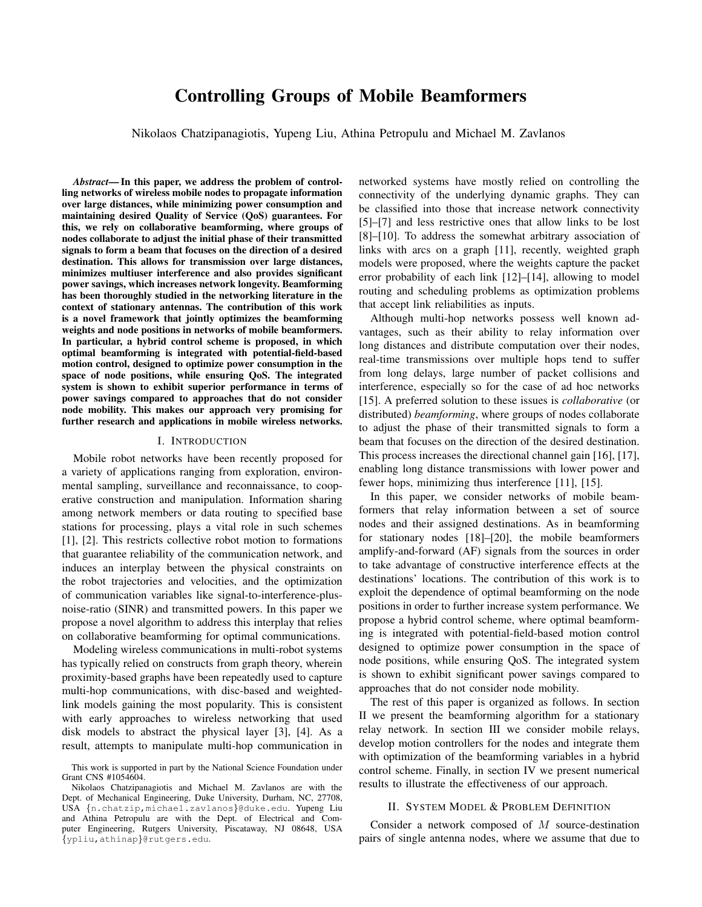# Controlling Groups of Mobile Beamformers

Nikolaos Chatzipanagiotis, Yupeng Liu, Athina Petropulu and Michael M. Zavlanos

*Abstract*— In this paper, we address the problem of controlling networks of wireless mobile nodes to propagate information over large distances, while minimizing power consumption and maintaining desired Quality of Service (QoS) guarantees. For this, we rely on collaborative beamforming, where groups of nodes collaborate to adjust the initial phase of their transmitted signals to form a beam that focuses on the direction of a desired destination. This allows for transmission over large distances, minimizes multiuser interference and also provides significant power savings, which increases network longevity. Beamforming has been thoroughly studied in the networking literature in the context of stationary antennas. The contribution of this work is a novel framework that jointly optimizes the beamforming weights and node positions in networks of mobile beamformers. In particular, a hybrid control scheme is proposed, in which optimal beamforming is integrated with potential-field-based motion control, designed to optimize power consumption in the space of node positions, while ensuring QoS. The integrated system is shown to exhibit superior performance in terms of power savings compared to approaches that do not consider node mobility. This makes our approach very promising for further research and applications in mobile wireless networks.

## I. INTRODUCTION

Mobile robot networks have been recently proposed for a variety of applications ranging from exploration, environmental sampling, surveillance and reconnaissance, to cooperative construction and manipulation. Information sharing among network members or data routing to specified base stations for processing, plays a vital role in such schemes [1], [2]. This restricts collective robot motion to formations that guarantee reliability of the communication network, and induces an interplay between the physical constraints on the robot trajectories and velocities, and the optimization of communication variables like signal-to-interference-plusnoise-ratio (SINR) and transmitted powers. In this paper we propose a novel algorithm to address this interplay that relies on collaborative beamforming for optimal communications.

Modeling wireless communications in multi-robot systems has typically relied on constructs from graph theory, wherein proximity-based graphs have been repeatedly used to capture multi-hop communications, with disc-based and weightedlink models gaining the most popularity. This is consistent with early approaches to wireless networking that used disk models to abstract the physical layer [3], [4]. As a result, attempts to manipulate multi-hop communication in networked systems have mostly relied on controlling the connectivity of the underlying dynamic graphs. They can be classified into those that increase network connectivity [5]–[7] and less restrictive ones that allow links to be lost [8]–[10]. To address the somewhat arbitrary association of links with arcs on a graph [11], recently, weighted graph models were proposed, where the weights capture the packet error probability of each link [12]–[14], allowing to model routing and scheduling problems as optimization problems that accept link reliabilities as inputs.

Although multi-hop networks possess well known advantages, such as their ability to relay information over long distances and distribute computation over their nodes, real-time transmissions over multiple hops tend to suffer from long delays, large number of packet collisions and interference, especially so for the case of ad hoc networks [15]. A preferred solution to these issues is *collaborative* (or distributed) *beamforming*, where groups of nodes collaborate to adjust the phase of their transmitted signals to form a beam that focuses on the direction of the desired destination. This process increases the directional channel gain [16], [17], enabling long distance transmissions with lower power and fewer hops, minimizing thus interference [11], [15].

In this paper, we consider networks of mobile beamformers that relay information between a set of source nodes and their assigned destinations. As in beamforming for stationary nodes [18]–[20], the mobile beamformers amplify-and-forward (AF) signals from the sources in order to take advantage of constructive interference effects at the destinations' locations. The contribution of this work is to exploit the dependence of optimal beamforming on the node positions in order to further increase system performance. We propose a hybrid control scheme, where optimal beamforming is integrated with potential-field-based motion control designed to optimize power consumption in the space of node positions, while ensuring QoS. The integrated system is shown to exhibit significant power savings compared to approaches that do not consider node mobility.

The rest of this paper is organized as follows. In section II we present the beamforming algorithm for a stationary relay network. In section III we consider mobile relays, develop motion controllers for the nodes and integrate them with optimization of the beamforming variables in a hybrid control scheme. Finally, in section IV we present numerical results to illustrate the effectiveness of our approach.

# II. SYSTEM MODEL & PROBLEM DEFINITION

Consider a network composed of M source-destination pairs of single antenna nodes, where we assume that due to

This work is supported in part by the National Science Foundation under Grant CNS #1054604.

Nikolaos Chatzipanagiotis and Michael M. Zavlanos are with the Dept. of Mechanical Engineering, Duke University, Durham, NC, 27708, USA {n.chatzip,michael.zavlanos}@duke.edu. Yupeng Liu and Athina Petropulu are with the Dept. of Electrical and Computer Engineering, Rutgers University, Piscataway, NJ 08648, USA {ypliu,athinap}@rutgers.edu.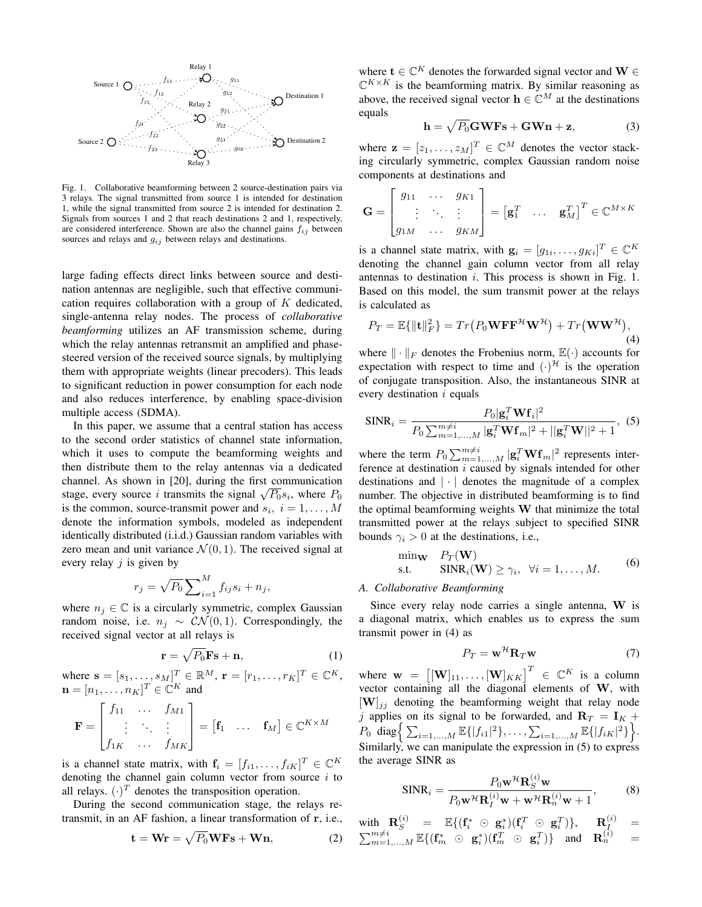

Fig. 1. Collaborative beamforming between 2 source-destination pairs via 3 relays. The signal transmitted from source 1 is intended for destination 1, while the signal transmitted from source 2 is intended for destination 2. Signals from sources 1 and 2 that reach destinations 2 and 1, respectively, are considered interference. Shown are also the channel gains  $f_{ij}$  between sources and relays and  $g_{ij}$  between relays and destinations.

large fading effects direct links between source and destination antennas are negligible, such that effective communication requires collaboration with a group of K dedicated, single-antenna relay nodes. The process of *collaborative beamforming* utilizes an AF transmission scheme, during which the relay antennas retransmit an amplified and phasesteered version of the received source signals, by multiplying them with appropriate weights (linear precoders). This leads to significant reduction in power consumption for each node and also reduces interference, by enabling space-division multiple access (SDMA).

In this paper, we assume that a central station has access to the second order statistics of channel state information, which it uses to compute the beamforming weights and then distribute them to the relay antennas via a dedicated channel. As shown in [20], during the first communication stage, every source i transmits the signal  $\sqrt{P_0} s_i$ , where  $P_0$ is the common, source-transmit power and  $s_i$ ,  $i = 1, \dots, M$ denote the information symbols, modeled as independent identically distributed (i.i.d.) Gaussian random variables with zero mean and unit variance  $\mathcal{N}(0, 1)$ . The received signal at every relay  $j$  is given by

$$
r_j = \sqrt{P_0} \sum_{i=1}^{M} f_{ij} s_i + n_j,
$$

where  $n_j \in \mathbb{C}$  is a circularly symmetric, complex Gaussian random noise, i.e.  $n_j ∼ \mathcal{CN}(0, 1)$ . Correspondingly, the received signal vector at all relays is

$$
\mathbf{r} = \sqrt{P_0} \mathbf{F} \mathbf{s} + \mathbf{n},\tag{1}
$$

where  $\mathbf{s} = [s_1, \dots, s_M]^T \in \mathbb{R}^M$ ,  $\mathbf{r} = [r_1, \dots, r_K]^T \in \mathbb{C}^K$ ,  $\mathbf{n} = [n_1, \ldots, n_K]^T \in \mathbb{C}^K$  and

$$
\mathbf{F} = \begin{bmatrix} f_{11} & \cdots & f_{M1} \\ \vdots & \ddots & \vdots \\ f_{1K} & \cdots & f_{MK} \end{bmatrix} = \begin{bmatrix} \mathbf{f}_1 & \cdots & \mathbf{f}_M \end{bmatrix} \in \mathbb{C}^{K \times M}
$$

is a channel state matrix, with  $\mathbf{f}_i = [f_{i1}, \dots, f_{iK}]^T \in \mathbb{C}^K$ denoting the channel gain column vector from source  $i$  to all relays.  $(\cdot)^T$  denotes the transposition operation.

During the second communication stage, the relays retransmit, in an AF fashion, a linear transformation of r, i.e.,

$$
\mathbf{t} = \mathbf{Wr} = \sqrt{P_0} \mathbf{WFs} + \mathbf{Wn},\tag{2}
$$

where  $\mathbf{t} \in \mathbb{C}^K$  denotes the forwarded signal vector and  $\mathbf{W} \in \mathbb{C}^K$  $\mathbb{C}^{K \times K}$  is the beamforming matrix. By similar reasoning as above, the received signal vector  $\mathbf{h} \in \mathbb{C}^{M}$  at the destinations equals

$$
\mathbf{h} = \sqrt{P_0} \mathbf{GWFs} + \mathbf{GWn} + \mathbf{z},\tag{3}
$$

where  $\mathbf{z} = [z_1, \dots, z_M]^T \in \mathbb{C}^M$  denotes the vector stacking circularly symmetric, complex Gaussian random noise components at destinations and

$$
\mathbf{G} = \begin{bmatrix} g_{11} & \cdots & g_{K1} \\ \vdots & \ddots & \vdots \\ g_{1M} & \cdots & g_{KM} \end{bmatrix} = \begin{bmatrix} \mathbf{g}_1^T & \cdots & \mathbf{g}_M^T \end{bmatrix}^T \in \mathbb{C}^{M \times K}
$$

is a channel state matrix, with  $\mathbf{g}_i = [g_{1i}, \dots, g_{Ki}]^T \in \mathbb{C}^K$ denoting the channel gain column vector from all relay antennas to destination  $i$ . This process is shown in Fig. 1. Based on this model, the sum transmit power at the relays is calculated as

$$
P_T = \mathbb{E}\{\|\mathbf{t}\|_F^2\} = Tr(P_0 \mathbf{W} \mathbf{F} \mathbf{F}^{\mathcal{H}} \mathbf{W}^{\mathcal{H}}) + Tr(\mathbf{W} \mathbf{W}^{\mathcal{H}}),
$$
\n(4)

where  $\|\cdot\|_F$  denotes the Frobenius norm,  $\mathbb{E}(\cdot)$  accounts for expectation with respect to time and  $(\cdot)$ <sup> $\mathcal{H}$ </sup> is the operation of conjugate transposition. Also, the instantaneous SINR at every destination  $i$  equals

$$
\text{SINR}_{i} = \frac{P_0|\mathbf{g}_i^T \mathbf{W} \mathbf{f}_i|^2}{P_0 \sum_{m=1,\dots,M}^{m \neq i} |\mathbf{g}_i^T \mathbf{W} \mathbf{f}_m|^2 + ||\mathbf{g}_i^T \mathbf{W}||^2 + 1},
$$
 (5)

where the term  $P_0 \sum_{m=1,...,M}^{m \neq i} |\mathbf{g}_i^T \mathbf{W} \mathbf{f}_m|^2$  represents interference at destination  $i$  caused by signals intended for other destinations and  $|\cdot|$  denotes the magnitude of a complex number. The objective in distributed beamforming is to find the optimal beamforming weights W that minimize the total transmitted power at the relays subject to specified SINR bounds  $\gamma_i > 0$  at the destinations, i.e.,

$$
\begin{array}{ll}\n\min_{\mathbf{W}} & P_T(\mathbf{W}) \\
\text{s.t.} & \text{SINR}_i(\mathbf{W}) \ge \gamma_i, \ \forall i = 1, \dots, M.\n\end{array} \tag{6}
$$

#### *A. Collaborative Beamforming*

Since every relay node carries a single antenna, W is a diagonal matrix, which enables us to express the sum transmit power in (4) as

$$
P_T = \mathbf{w}^{\mathcal{H}} \mathbf{R}_T \mathbf{w} \tag{7}
$$

where  $\mathbf{w} = \left[ [\mathbf{W}]_{11}, \dots, [\mathbf{W}]_{KK} \right]^T \in \mathbb{C}^K$  is a column vector containing all the diagonal elements of W, with  $[\mathbf{W}]_{jj}$  denoting the beamforming weight that relay node j applies on its signal to be forwarded, and  $\mathbf{R}_T = \mathbf{I}_K +$  $P_0$  diag $\Big\{ \sum_{i=1,...,M} \mathbb{E}\{|f_{i1}|^2\}, \ldots, \sum_{i=1,...,M} \mathbb{E}\{|f_{iK}|^2\} \Big\}.$ Similarly, we can manipulate the expression in  $(5)$  to express the average SINR as

$$
\text{SINR}_{i} = \frac{P_0 \mathbf{w}^{\mathcal{H}} \mathbf{R}_{S}^{(i)} \mathbf{w}}{P_0 \mathbf{w}^{\mathcal{H}} \mathbf{R}_{I}^{(i)} \mathbf{w} + \mathbf{w}^{\mathcal{H}} \mathbf{R}_{n}^{(i)} \mathbf{w} + 1},
$$
(8)

 $\text{with} \ \ \mathbf{R}^{(i)}_S \quad = \quad \mathbb{E}\{ (\mathbf{f}^*_i \ \odot \ \mathbf{g}^*_i)(\mathbf{f}^T_i \ \odot \ \mathbf{g}^T_i) \}, \hspace{5mm} \mathbf{R}^{(i)}_{\textit{$I_{\text{s}}$}} \quad =$  $\sum_{m=1,...,M}^{m \neq i} \mathbb{E}\{(\mathbf{f}_m^* \odot \mathbf{g}_i^*)(\mathbf{f}_m^T \odot \mathbf{g}_i^T)\}$  and  $\mathbf{R}_n^{(i)}$  =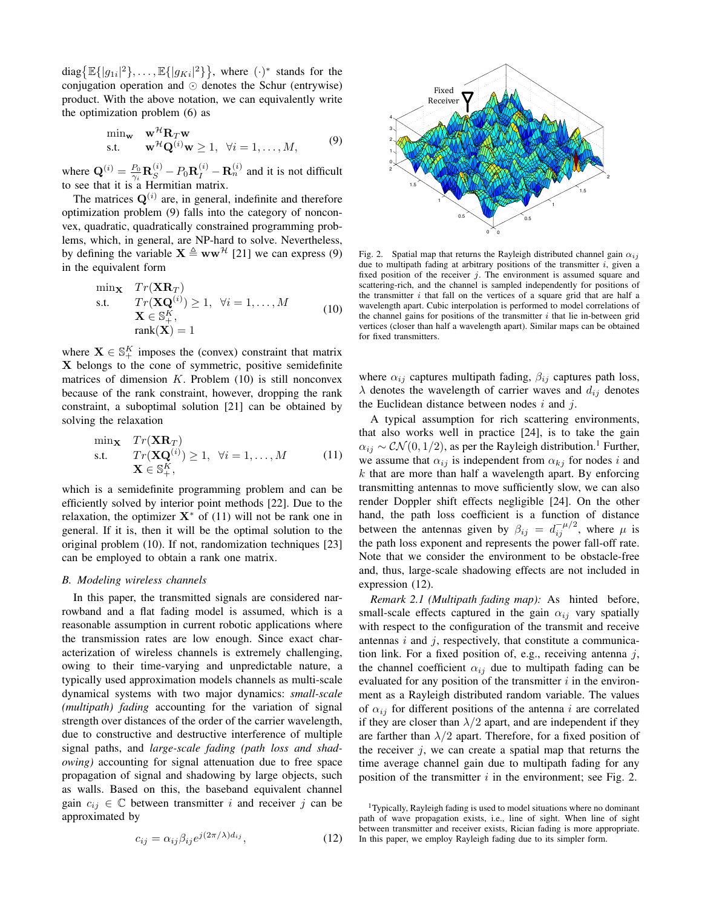diag $\{\mathbb{E}\{|g_{1i}|^2\}, \ldots, \mathbb{E}\{|g_{Ki}|^2\}\}\,$ , where  $(\cdot)^*$  stands for the conjugation operation and  $\odot$  denotes the Schur (entrywise) product. With the above notation, we can equivalently write the optimization problem (6) as

$$
\min_{\mathbf{w}} \quad \mathbf{w}^{\mathcal{H}} \mathbf{R}_T \mathbf{w}
$$
\n
$$
\text{s.t.} \quad \mathbf{w}^{\mathcal{H}} \mathbf{Q}^{(i)} \mathbf{w} \ge 1, \ \forall i = 1, \dots, M,
$$
\n
$$
(9)
$$

where  $\mathbf{Q}^{(i)} = \frac{P_0}{\gamma_i} \mathbf{R}_S^{(i)} - P_0 \mathbf{R}_I^{(i)} - \mathbf{R}_n^{(i)}$  and it is not difficult to see that it is a Hermitian matrix.

The matrices  $Q^{(i)}$  are, in general, indefinite and therefore optimization problem (9) falls into the category of nonconvex, quadratic, quadratically constrained programming problems, which, in general, are NP-hard to solve. Nevertheless, by defining the variable  $X \triangleq WW^{\mathcal{H}}$  [21] we can express (9) in the equivalent form

$$
\begin{array}{ll}\n\min_{\mathbf{X}} & Tr(\mathbf{X}\mathbf{R}_T) \\
\text{s.t.} & Tr(\mathbf{X}\mathbf{Q}^{(i)}) \ge 1, \ \forall i = 1, \dots, M \\
& \mathbf{X} \in \mathbb{S}_+^K, \\
& \operatorname{rank}(\mathbf{X}) = 1\n\end{array} \tag{10}
$$

where  $X \in \mathbb{S}_+^K$  imposes the (convex) constraint that matrix X belongs to the cone of symmetric, positive semidefinite matrices of dimension  $K$ . Problem (10) is still nonconvex because of the rank constraint, however, dropping the rank constraint, a suboptimal solution [21] can be obtained by solving the relaxation

$$
\begin{array}{ll}\n\min_{\mathbf{X}} & Tr(\mathbf{X}\mathbf{R}_T) \\
\text{s.t.} & Tr(\mathbf{X}\mathbf{Q}^{(i)}) \ge 1, \ \forall i = 1, \dots, M \\
& \mathbf{X} \in \mathbb{S}_+^K,\n\end{array} \tag{11}
$$

which is a semidefinite programming problem and can be efficiently solved by interior point methods [22]. Due to the relaxation, the optimizer  $X^*$  of (11) will not be rank one in general. If it is, then it will be the optimal solution to the original problem (10). If not, randomization techniques [23] can be employed to obtain a rank one matrix.

# *B. Modeling wireless channels*

In this paper, the transmitted signals are considered narrowband and a flat fading model is assumed, which is a reasonable assumption in current robotic applications where the transmission rates are low enough. Since exact characterization of wireless channels is extremely challenging, owing to their time-varying and unpredictable nature, a typically used approximation models channels as multi-scale dynamical systems with two major dynamics: *small-scale (multipath) fading* accounting for the variation of signal strength over distances of the order of the carrier wavelength, due to constructive and destructive interference of multiple signal paths, and *large-scale fading (path loss and shadowing)* accounting for signal attenuation due to free space propagation of signal and shadowing by large objects, such as walls. Based on this, the baseband equivalent channel gain  $c_{ij} \in \mathbb{C}$  between transmitter i and receiver j can be approximated by

$$
c_{ij} = \alpha_{ij} \beta_{ij} e^{j(2\pi/\lambda) d_{ij}}, \qquad (12)
$$



Fig. 2. Spatial map that returns the Rayleigh distributed channel gain  $\alpha_{ij}$ due to multipath fading at arbitrary positions of the transmitter  $i$ , given a fixed position of the receiver  $j$ . The environment is assumed square and scattering-rich, and the channel is sampled independently for positions of the transmitter  $i$  that fall on the vertices of a square grid that are half a wavelength apart. Cubic interpolation is performed to model correlations of the channel gains for positions of the transmitter  $i$  that lie in-between grid vertices (closer than half a wavelength apart). Similar maps can be obtained for fixed transmitters.

where  $\alpha_{ij}$  captures multipath fading,  $\beta_{ij}$  captures path loss,  $\lambda$  denotes the wavelength of carrier waves and  $d_{ij}$  denotes the Euclidean distance between nodes  $i$  and  $j$ .

A typical assumption for rich scattering environments, that also works well in practice [24], is to take the gain  $\alpha_{ij} \sim \mathcal{CN}(0, 1/2)$ , as per the Rayleigh distribution.<sup>1</sup> Further, we assume that  $\alpha_{ij}$  is independent from  $\alpha_{kj}$  for nodes i and  $k$  that are more than half a wavelength apart. By enforcing transmitting antennas to move sufficiently slow, we can also render Doppler shift effects negligible [24]. On the other hand, the path loss coefficient is a function of distance between the antennas given by  $\beta_{ij} = d_{ij}^{-\mu/2}$ , where  $\mu$  is the path loss exponent and represents the power fall-off rate. Note that we consider the environment to be obstacle-free and, thus, large-scale shadowing effects are not included in expression (12).

*Remark 2.1 (Multipath fading map):* As hinted before, small-scale effects captured in the gain  $\alpha_{ij}$  vary spatially with respect to the configuration of the transmit and receive antennas  $i$  and  $j$ , respectively, that constitute a communication link. For a fixed position of, e.g., receiving antenna  $j$ , the channel coefficient  $\alpha_{ij}$  due to multipath fading can be evaluated for any position of the transmitter  $i$  in the environment as a Rayleigh distributed random variable. The values of  $\alpha_{ij}$  for different positions of the antenna i are correlated if they are closer than  $\lambda/2$  apart, and are independent if they are farther than  $\lambda/2$  apart. Therefore, for a fixed position of the receiver  $j$ , we can create a spatial map that returns the time average channel gain due to multipath fading for any position of the transmitter  $i$  in the environment; see Fig. 2.

<sup>&</sup>lt;sup>1</sup>Typically, Rayleigh fading is used to model situations where no dominant path of wave propagation exists, i.e., line of sight. When line of sight between transmitter and receiver exists, Rician fading is more appropriate. In this paper, we employ Rayleigh fading due to its simpler form.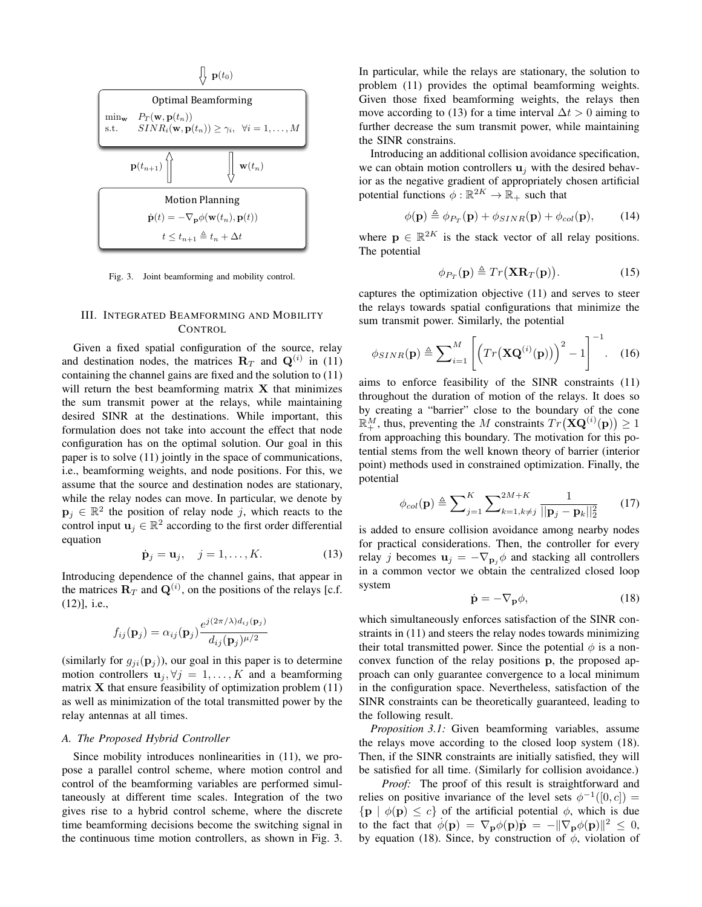

Fig. 3. Joint beamforming and mobility control.

# III. INTEGRATED BEAMFORMING AND MOBILITY **CONTROL**

Given a fixed spatial configuration of the source, relay and destination nodes, the matrices  $\mathbf{R}_T$  and  $\mathbf{Q}^{(i)}$  in (11) containing the channel gains are fixed and the solution to (11) will return the best beamforming matrix  $X$  that minimizes the sum transmit power at the relays, while maintaining desired SINR at the destinations. While important, this formulation does not take into account the effect that node configuration has on the optimal solution. Our goal in this paper is to solve (11) jointly in the space of communications, i.e., beamforming weights, and node positions. For this, we assume that the source and destination nodes are stationary, while the relay nodes can move. In particular, we denote by  $\mathbf{p}_j \in \mathbb{R}^2$  the position of relay node j, which reacts to the control input  $\mathbf{u}_j \in \mathbb{R}^2$  according to the first order differential equation

$$
\dot{\mathbf{p}}_j = \mathbf{u}_j, \quad j = 1, \dots, K. \tag{13}
$$

Introducing dependence of the channel gains, that appear in the matrices  $\mathbf{R}_T$  and  $\mathbf{Q}^{(i)}$ , on the positions of the relays [c.f. (12)], i.e.,

$$
f_{ij}(\mathbf{p}_j) = \alpha_{ij}(\mathbf{p}_j) \frac{e^{j(2\pi/\lambda) d_{ij}(\mathbf{p}_j)}}{d_{ij}(\mathbf{p}_j)^{\mu/2}}
$$

(similarly for  $g_{ji}(\mathbf{p}_i)$ ), our goal in this paper is to determine motion controllers  $\mathbf{u}_j, \forall j = 1, ..., K$  and a beamforming matrix  $X$  that ensure feasibility of optimization problem  $(11)$ as well as minimization of the total transmitted power by the relay antennas at all times.

# *A. The Proposed Hybrid Controller*

Since mobility introduces nonlinearities in (11), we propose a parallel control scheme, where motion control and control of the beamforming variables are performed simultaneously at different time scales. Integration of the two gives rise to a hybrid control scheme, where the discrete time beamforming decisions become the switching signal in the continuous time motion controllers, as shown in Fig. 3. In particular, while the relays are stationary, the solution to problem (11) provides the optimal beamforming weights. Given those fixed beamforming weights, the relays then move according to (13) for a time interval  $\Delta t > 0$  aiming to further decrease the sum transmit power, while maintaining the SINR constrains.

Introducing an additional collision avoidance specification, we can obtain motion controllers  $\mathbf{u}_i$  with the desired behavior as the negative gradient of appropriately chosen artificial potential functions  $\phi : \mathbb{R}^{2K} \to \mathbb{R}_+$  such that

$$
\phi(\mathbf{p}) \triangleq \phi_{P_T}(\mathbf{p}) + \phi_{SINR}(\mathbf{p}) + \phi_{col}(\mathbf{p}), \quad (14)
$$

where  $\mathbf{p} \in \mathbb{R}^{2K}$  is the stack vector of all relay positions. The potential

$$
\phi_{P_T}(\mathbf{p}) \triangleq Tr(\mathbf{X} \mathbf{R}_T(\mathbf{p})). \tag{15}
$$

captures the optimization objective (11) and serves to steer the relays towards spatial configurations that minimize the sum transmit power. Similarly, the potential

$$
\phi_{SINR}(\mathbf{p}) \triangleq \sum_{i=1}^{M} \left[ \left( Tr\left( \mathbf{XQ}^{(i)}(\mathbf{p}) \right) \right)^2 - 1 \right]^{-1} . \quad (16)
$$

aims to enforce feasibility of the SINR constraints (11) throughout the duration of motion of the relays. It does so by creating a "barrier" close to the boundary of the cone  $\mathbb{R}^M_+$ , thus, preventing the M constraints  $Tr(\mathbf{XQ}^{(i)}(\mathbf{p})) \ge 1$ from approaching this boundary. The motivation for this potential stems from the well known theory of barrier (interior point) methods used in constrained optimization. Finally, the potential

$$
\phi_{col}(\mathbf{p}) \triangleq \sum_{j=1}^{K} \sum_{k=1, k \neq j}^{2M+K} \frac{1}{\|\mathbf{p}_j - \mathbf{p}_k\|_2^2}
$$
(17)

is added to ensure collision avoidance among nearby nodes for practical considerations. Then, the controller for every relay j becomes  $\mathbf{u}_j = -\nabla_{\mathbf{p}_j} \phi$  and stacking all controllers in a common vector we obtain the centralized closed loop system

$$
\dot{\mathbf{p}} = -\nabla_{\mathbf{p}} \phi,\tag{18}
$$

which simultaneously enforces satisfaction of the SINR constraints in (11) and steers the relay nodes towards minimizing their total transmitted power. Since the potential  $\phi$  is a nonconvex function of the relay positions p, the proposed approach can only guarantee convergence to a local minimum in the configuration space. Nevertheless, satisfaction of the SINR constraints can be theoretically guaranteed, leading to the following result.

*Proposition 3.1:* Given beamforming variables, assume the relays move according to the closed loop system (18). Then, if the SINR constraints are initially satisfied, they will be satisfied for all time. (Similarly for collision avoidance.)

*Proof:* The proof of this result is straightforward and relies on positive invariance of the level sets  $\phi^{-1}([0, c]) =$  $\{p \mid \phi(p) \leq c\}$  of the artificial potential  $\phi$ , which is due to the fact that  $\phi(\mathbf{p}) = \nabla_{\mathbf{p}} \phi(\mathbf{p}) \dot{\mathbf{p}} = -\|\nabla_{\mathbf{p}} \phi(\mathbf{p})\|^2 \leq 0$ , by equation (18). Since, by construction of  $\phi$ , violation of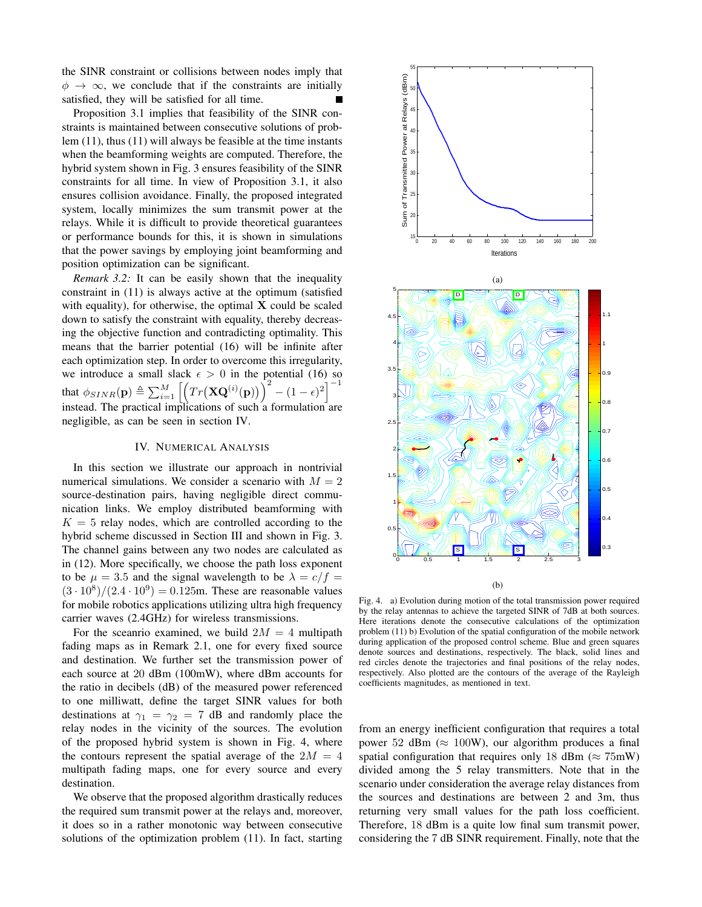the SINR constraint or collisions between nodes imply that  $\phi \rightarrow \infty$ , we conclude that if the constraints are initially satisfied, they will be satisfied for all time.

Proposition 3.1 implies that feasibility of the SINR constraints is maintained between consecutive solutions of problem (11), thus (11) will always be feasible at the time instants when the beamforming weights are computed. Therefore, the hybrid system shown in Fig. 3 ensures feasibility of the SINR constraints for all time. In view of Proposition 3.1, it also ensures collision avoidance. Finally, the proposed integrated system, locally minimizes the sum transmit power at the relays. While it is difficult to provide theoretical guarantees or performance bounds for this, it is shown in simulations that the power savings by employing joint beamforming and position optimization can be significant.

*Remark 3.2:* It can be easily shown that the inequality constraint in (11) is always active at the optimum (satisfied with equality), for otherwise, the optimal  $X$  could be scaled down to satisfy the constraint with equality, thereby decreasing the objective function and contradicting optimality. This means that the barrier potential (16) will be infinite after each optimization step. In order to overcome this irregularity, we introduce a small slack  $\epsilon > 0$  in the potential (16) so that  $\phi_{SINR}(\mathbf{p}) \triangleq \sum_{i=1}^{M} \left[ \left( Tr(\mathbf{XQ}^{(i)}(\mathbf{p})) \right)^2 - (1-\epsilon)^2 \right]^{-1}$ instead. The practical implications of such a formulation are negligible, as can be seen in section IV.

## IV. NUMERICAL ANALYSIS

In this section we illustrate our approach in nontrivial numerical simulations. We consider a scenario with  $M = 2$ source-destination pairs, having negligible direct communication links. We employ distributed beamforming with  $K = 5$  relay nodes, which are controlled according to the hybrid scheme discussed in Section III and shown in Fig. 3. The channel gains between any two nodes are calculated as in (12). More specifically, we choose the path loss exponent to be  $\mu = 3.5$  and the signal wavelength to be  $\lambda = c/f$  =  $(3 \cdot 10^8)/(2.4 \cdot 10^9) = 0.125$ m. These are reasonable values for mobile robotics applications utilizing ultra high frequency carrier waves (2.4GHz) for wireless transmissions.

For the sceanrio examined, we build  $2M = 4$  multipath fading maps as in Remark 2.1, one for every fixed source and destination. We further set the transmission power of each source at 20 dBm (100mW), where dBm accounts for the ratio in decibels (dB) of the measured power referenced to one milliwatt, define the target SINR values for both destinations at  $\gamma_1 = \gamma_2 = 7$  dB and randomly place the relay nodes in the vicinity of the sources. The evolution of the proposed hybrid system is shown in Fig. 4, where the contours represent the spatial average of the  $2M = 4$ multipath fading maps, one for every source and every destination.

We observe that the proposed algorithm drastically reduces the required sum transmit power at the relays and, moreover, it does so in a rather monotonic way between consecutive solutions of the optimization problem (11). In fact, starting



(b)

Fig. 4. a) Evolution during motion of the total transmission power required by the relay antennas to achieve the targeted SINR of 7dB at both sources. Here iterations denote the consecutive calculations of the optimization problem (11) b) Evolution of the spatial configuration of the mobile network during application of the proposed control scheme. Blue and green squares denote sources and destinations, respectively. The black, solid lines and red circles denote the trajectories and final positions of the relay nodes, respectively. Also plotted are the contours of the average of the Rayleigh coefficients magnitudes, as mentioned in text.

from an energy inefficient configuration that requires a total power 52 dBm ( $\approx 100W$ ), our algorithm produces a final spatial configuration that requires only 18 dBm ( $\approx 75$ mW) divided among the 5 relay transmitters. Note that in the scenario under consideration the average relay distances from the sources and destinations are between 2 and 3m, thus returning very small values for the path loss coefficient. Therefore, 18 dBm is a quite low final sum transmit power, considering the 7 dB SINR requirement. Finally, note that the